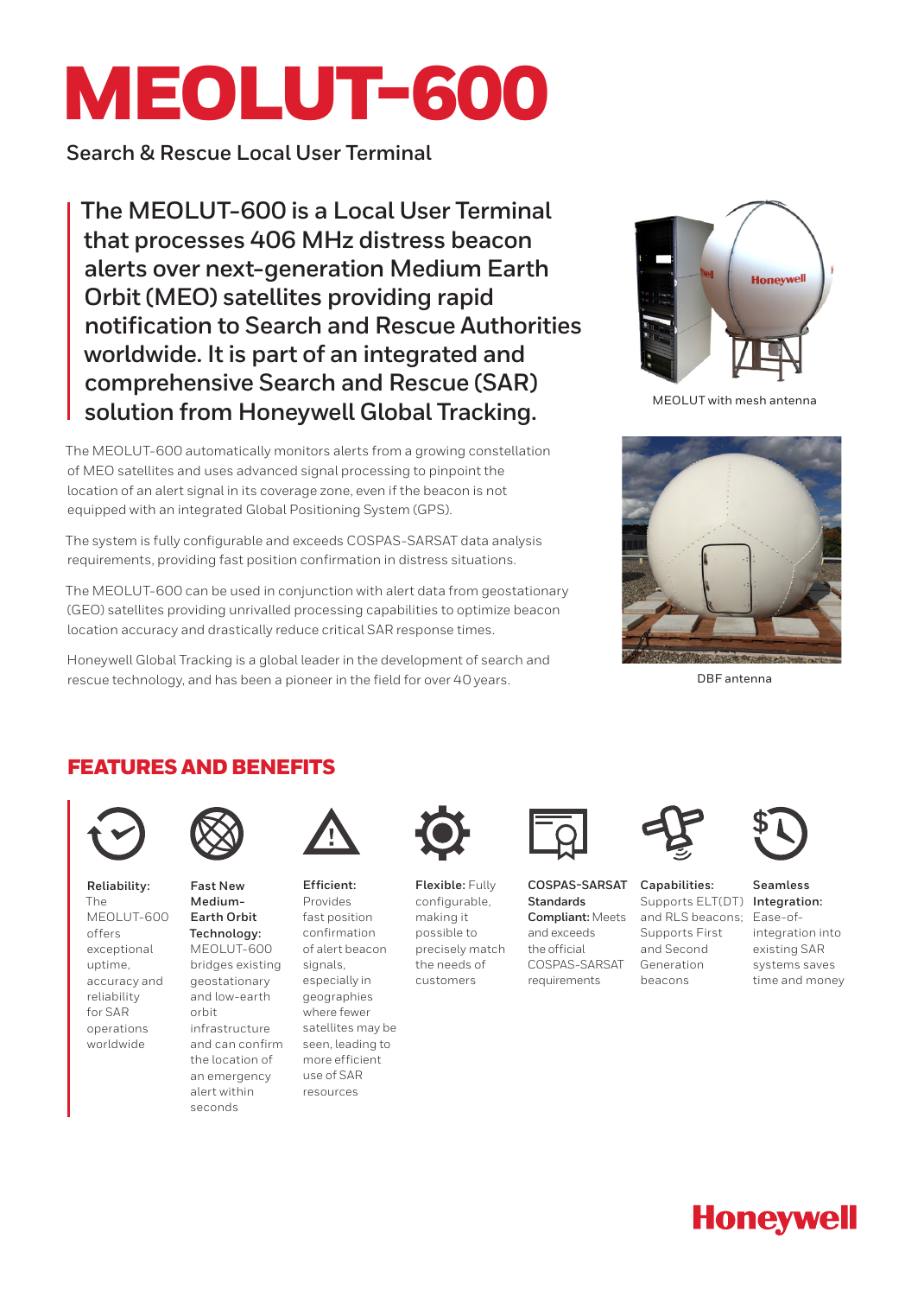# MEOLUT-600

**Search & Rescue Local User Terminal**

**The MEOLUT-600 is a Local User Terminal that processes 406 MHz distress beacon alerts over next-generation Medium Earth Orbit (MEO) satellites providing rapid notification to Search and Rescue Authorities worldwide. It is part of an integrated and comprehensive Search and Rescue (SAR) solution from Honeywell Global Tracking.**

The MEOLUT-600 automatically monitors alerts from a growing constellation of MEO satellites and uses advanced signal processing to pinpoint the location of an alert signal in its coverage zone, even if the beacon is not equipped with an integrated Global Positioning System (GPS).

The system is fully configurable and exceeds COSPAS-SARSAT data analysis requirements, providing fast position confirmation in distress situations.

The MEOLUT-600 can be used in conjunction with alert data from geostationary (GEO) satellites providing unrivalled processing capabilities to optimize beacon location accuracy and drastically reduce critical SAR response times.

Honeywell Global Tracking is a global leader in the development of search and rescue technology, and has been a pioneer in the field for over 40 years.



MEOLUT with mesh antenna



DBF antenna

## FEATURES AND BENEFITS



**Reliability:**  The MEOLUT-600 offers exceptional uptime, accuracy and reliability for SAR operations worldwide



**Fast New Medium-Earth Orbit Technology:** MEOLUT-600 bridges existing geostationary and low-earth orbit infrastructure and can confirm the location of an emergency alert within seconds



**Efficient:** Provides fast position confirmation of alert beacon signals, especially in geographies where fewer satellites may be seen, leading to more efficient use of SAR resources



**Flexible:** Fully configurable, making it possible to precisely match the needs of customers



**COSPAS-SARSAT Standards Compliant:** Meets and exceeds the official COSPAS-SARSAT requirements



**Capabilities:** Supports ELT(DT) **Integration:**  and RLS beacons; Ease-of-Supports First and Second Generation beacons



**Seamless**  integration into existing SAR systems saves time and money